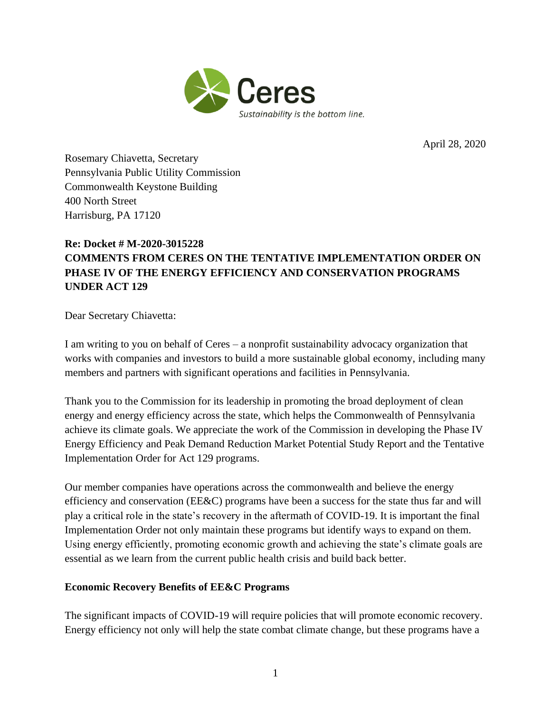

April 28, 2020

Rosemary Chiavetta, Secretary Pennsylvania Public Utility Commission Commonwealth Keystone Building 400 North Street Harrisburg, PA 17120

## **Re: Docket # M-2020-3015228 COMMENTS FROM CERES ON THE TENTATIVE IMPLEMENTATION ORDER ON PHASE IV OF THE ENERGY EFFICIENCY AND CONSERVATION PROGRAMS UNDER ACT 129**

Dear Secretary Chiavetta:

I am writing to you on behalf of Ceres – a nonprofit sustainability advocacy organization that works with companies and investors to build a more sustainable global economy, including many members and partners with significant operations and facilities in Pennsylvania.

Thank you to the Commission for its leadership in promoting the broad deployment of clean energy and energy efficiency across the state, which helps the Commonwealth of Pennsylvania achieve its climate goals. We appreciate the work of the Commission in developing the Phase IV Energy Efficiency and Peak Demand Reduction Market Potential Study Report and the Tentative Implementation Order for Act 129 programs.

Our member companies have operations across the commonwealth and believe the energy efficiency and conservation (EE&C) programs have been a success for the state thus far and will play a critical role in the state's recovery in the aftermath of COVID-19. It is important the final Implementation Order not only maintain these programs but identify ways to expand on them. Using energy efficiently, promoting economic growth and achieving the state's climate goals are essential as we learn from the current public health crisis and build back better.

## **Economic Recovery Benefits of EE&C Programs**

The significant impacts of COVID-19 will require policies that will promote economic recovery. Energy efficiency not only will help the state combat climate change, but these programs have a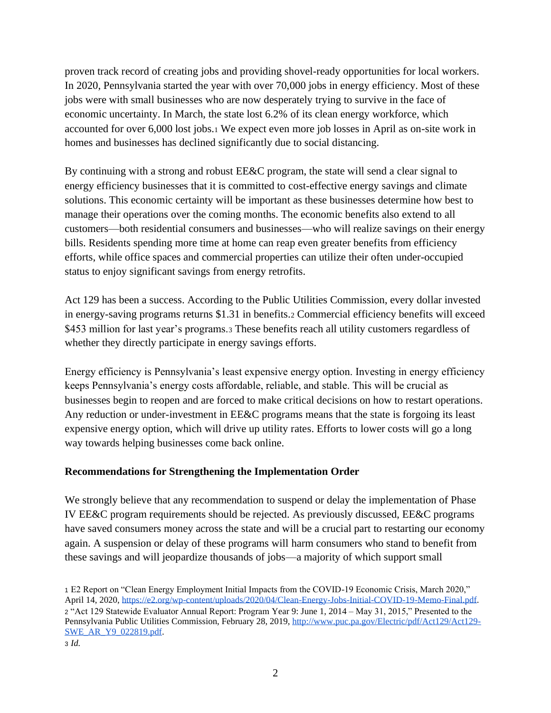proven track record of creating jobs and providing shovel-ready opportunities for local workers. In 2020, Pennsylvania started the year with over 70,000 jobs in energy efficiency. Most of these jobs were with small businesses who are now desperately trying to survive in the face of economic uncertainty. In March, the state lost 6.2% of its clean energy workforce, which accounted for over 6,000 lost jobs.<sup>1</sup> We expect even more job losses in April as on-site work in homes and businesses has declined significantly due to social distancing.

By continuing with a strong and robust EE&C program, the state will send a clear signal to energy efficiency businesses that it is committed to cost-effective energy savings and climate solutions. This economic certainty will be important as these businesses determine how best to manage their operations over the coming months. The economic benefits also extend to all customers—both residential consumers and businesses—who will realize savings on their energy bills. Residents spending more time at home can reap even greater benefits from efficiency efforts, while office spaces and commercial properties can utilize their often under-occupied status to enjoy significant savings from energy retrofits.

Act 129 has been a success. According to the Public Utilities Commission, every dollar invested in energy-saving programs returns \$1.31 in benefits.<sup>2</sup> Commercial efficiency benefits will exceed \$453 million for last year's programs.<sup>3</sup> These benefits reach all utility customers regardless of whether they directly participate in energy savings efforts.

Energy efficiency is Pennsylvania's least expensive energy option. Investing in energy efficiency keeps Pennsylvania's energy costs affordable, reliable, and stable. This will be crucial as businesses begin to reopen and are forced to make critical decisions on how to restart operations. Any reduction or under-investment in EE&C programs means that the state is forgoing its least expensive energy option, which will drive up utility rates. Efforts to lower costs will go a long way towards helping businesses come back online.

## **Recommendations for Strengthening the Implementation Order**

We strongly believe that any recommendation to suspend or delay the implementation of Phase IV EE&C program requirements should be rejected. As previously discussed, EE&C programs have saved consumers money across the state and will be a crucial part to restarting our economy again. A suspension or delay of these programs will harm consumers who stand to benefit from these savings and will jeopardize thousands of jobs—a majority of which support small

<sup>1</sup> E2 Report on "Clean Energy Employment Initial Impacts from the COVID-19 Economic Crisis, March 2020," April 14, 2020[, https://e2.org/wp-content/uploads/2020/04/Clean-Energy-Jobs-Initial-COVID-19-Memo-Final.pdf.](https://e2.org/wp-content/uploads/2020/04/Clean-Energy-Jobs-Initial-COVID-19-Memo-Final.pdf) <sup>2</sup> "Act 129 Statewide Evaluator Annual Report: Program Year 9: June 1, 2014 – May 31, 2015," Presented to the Pennsylvania Public Utilities Commission, February 28, 2019, [http://www.puc.pa.gov/Electric/pdf/Act129/Act129-](http://www.puc.pa.gov/Electric/pdf/Act129/Act129-SWE_AR_Y9_022819.pdf) [SWE\\_AR\\_Y9\\_022819.pdf.](http://www.puc.pa.gov/Electric/pdf/Act129/Act129-SWE_AR_Y9_022819.pdf)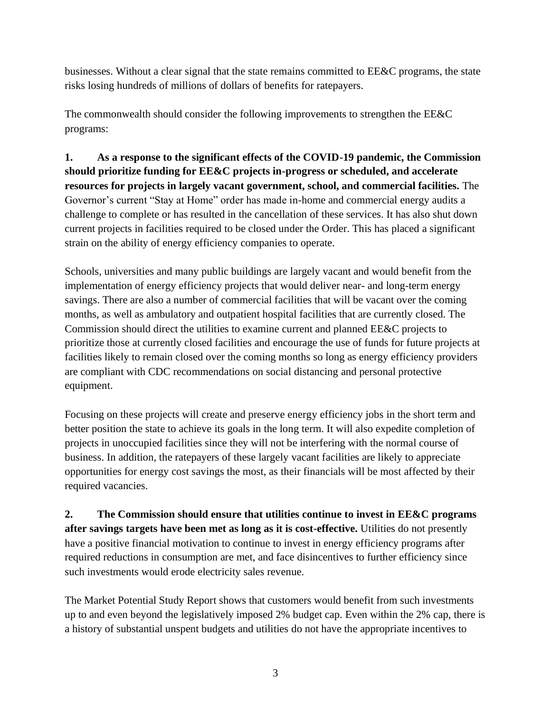businesses. Without a clear signal that the state remains committed to EE&C programs, the state risks losing hundreds of millions of dollars of benefits for ratepayers.

The commonwealth should consider the following improvements to strengthen the EE&C programs:

**1. As a response to the significant effects of the COVID-19 pandemic, the Commission should prioritize funding for EE&C projects in-progress or scheduled, and accelerate resources for projects in largely vacant government, school, and commercial facilities.** The Governor's current "Stay at Home" order has made in-home and commercial energy audits a challenge to complete or has resulted in the cancellation of these services. It has also shut down current projects in facilities required to be closed under the Order. This has placed a significant strain on the ability of energy efficiency companies to operate.

Schools, universities and many public buildings are largely vacant and would benefit from the implementation of energy efficiency projects that would deliver near- and long-term energy savings. There are also a number of commercial facilities that will be vacant over the coming months, as well as ambulatory and outpatient hospital facilities that are currently closed. The Commission should direct the utilities to examine current and planned EE&C projects to prioritize those at currently closed facilities and encourage the use of funds for future projects at facilities likely to remain closed over the coming months so long as energy efficiency providers are compliant with CDC recommendations on social distancing and personal protective equipment.

Focusing on these projects will create and preserve energy efficiency jobs in the short term and better position the state to achieve its goals in the long term. It will also expedite completion of projects in unoccupied facilities since they will not be interfering with the normal course of business. In addition, the ratepayers of these largely vacant facilities are likely to appreciate opportunities for energy cost savings the most, as their financials will be most affected by their required vacancies.

**2. The Commission should ensure that utilities continue to invest in EE&C programs after savings targets have been met as long as it is cost-effective.** Utilities do not presently have a positive financial motivation to continue to invest in energy efficiency programs after required reductions in consumption are met, and face disincentives to further efficiency since such investments would erode electricity sales revenue.

The Market Potential Study Report shows that customers would benefit from such investments up to and even beyond the legislatively imposed 2% budget cap. Even within the 2% cap, there is a history of substantial unspent budgets and utilities do not have the appropriate incentives to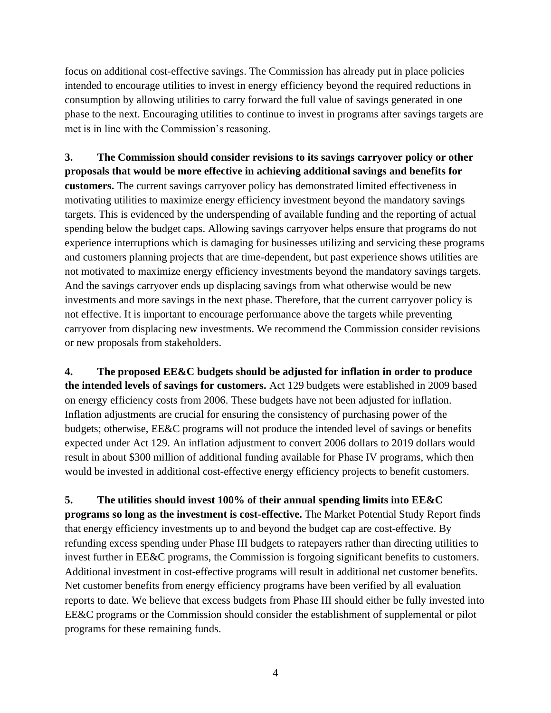focus on additional cost-effective savings. The Commission has already put in place policies intended to encourage utilities to invest in energy efficiency beyond the required reductions in consumption by allowing utilities to carry forward the full value of savings generated in one phase to the next. Encouraging utilities to continue to invest in programs after savings targets are met is in line with the Commission's reasoning.

**3. The Commission should consider revisions to its savings carryover policy or other proposals that would be more effective in achieving additional savings and benefits for customers.** The current savings carryover policy has demonstrated limited effectiveness in motivating utilities to maximize energy efficiency investment beyond the mandatory savings targets. This is evidenced by the underspending of available funding and the reporting of actual spending below the budget caps. Allowing savings carryover helps ensure that programs do not experience interruptions which is damaging for businesses utilizing and servicing these programs and customers planning projects that are time-dependent, but past experience shows utilities are not motivated to maximize energy efficiency investments beyond the mandatory savings targets. And the savings carryover ends up displacing savings from what otherwise would be new investments and more savings in the next phase. Therefore, that the current carryover policy is not effective. It is important to encourage performance above the targets while preventing carryover from displacing new investments. We recommend the Commission consider revisions or new proposals from stakeholders.

**4. The proposed EE&C budgets should be adjusted for inflation in order to produce the intended levels of savings for customers.** Act 129 budgets were established in 2009 based on energy efficiency costs from 2006. These budgets have not been adjusted for inflation. Inflation adjustments are crucial for ensuring the consistency of purchasing power of the budgets; otherwise, EE&C programs will not produce the intended level of savings or benefits expected under Act 129. An inflation adjustment to convert 2006 dollars to 2019 dollars would result in about \$300 million of additional funding available for Phase IV programs, which then would be invested in additional cost-effective energy efficiency projects to benefit customers.

**5. The utilities should invest 100% of their annual spending limits into EE&C programs so long as the investment is cost-effective.** The Market Potential Study Report finds that energy efficiency investments up to and beyond the budget cap are cost-effective. By refunding excess spending under Phase III budgets to ratepayers rather than directing utilities to invest further in EE&C programs, the Commission is forgoing significant benefits to customers. Additional investment in cost-effective programs will result in additional net customer benefits. Net customer benefits from energy efficiency programs have been verified by all evaluation reports to date. We believe that excess budgets from Phase III should either be fully invested into EE&C programs or the Commission should consider the establishment of supplemental or pilot programs for these remaining funds.